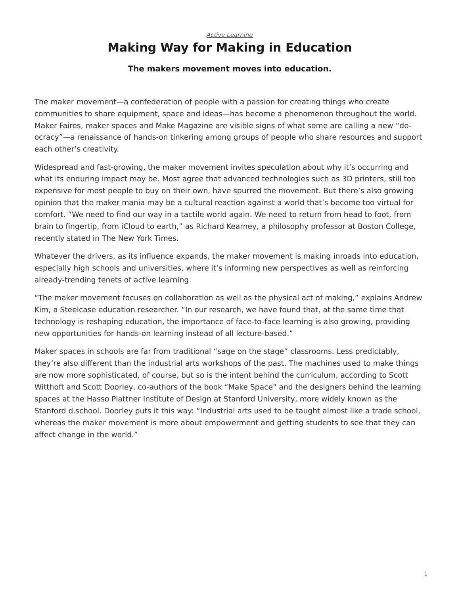#### *[Active Learning](https://www.steelcase.com/eu-en/research/topics/active-learning/)* **Making Way for Making in Education**

#### **The makers movement moves into education.**

The maker movement—a confederation of people with a passion for creating things who create communities to share equipment, space and ideas—has become a phenomenon throughout the world. Maker Faires, maker spaces and Make Magazine are visible signs of what some are calling a new "doocracy"—a renaissance of hands-on tinkering among groups of people who share resources and support each other's creativity.

Widespread and fast-growing, the maker movement invites speculation about why it's occurring and what its enduring impact may be. Most agree that advanced technologies such as 3D printers, still too expensive for most people to buy on their own, have spurred the movement. But there's also growing opinion that the maker mania may be a cultural reaction against a world that's become too virtual for comfort. "We need to find our way in a tactile world again. We need to return from head to foot, from brain to fingertip, from iCloud to earth," as Richard Kearney, a philosophy professor at Boston College, recently stated in The New York Times.

Whatever the drivers, as its influence expands, the maker movement is making inroads into education, especially high schools and universities, where it's informing new perspectives as well as reinforcing already-trending tenets of active learning.

"The maker movement focuses on collaboration as well as the physical act of making," explains Andrew Kim, a Steelcase education researcher. "In our research, we have found that, at the same time that technology is reshaping education, the importance of face-to-face learning is also growing, providing new opportunities for hands-on learning instead of all lecture-based."

Maker spaces in schools are far from traditional "sage on the stage" classrooms. Less predictably, they're also different than the industrial arts workshops of the past. The machines used to make things are now more sophisticated, of course, but so is the intent behind the curriculum, according to Scott Witthoft and Scott Doorley, co-authors of the book "Make Space" and the designers behind the learning spaces at the Hasso Plattner Institute of Design at Stanford University, more widely known as the Stanford d.school. Doorley puts it this way: "Industrial arts used to be taught almost like a trade school, whereas the maker movement is more about empowerment and getting students to see that they can affect change in the world."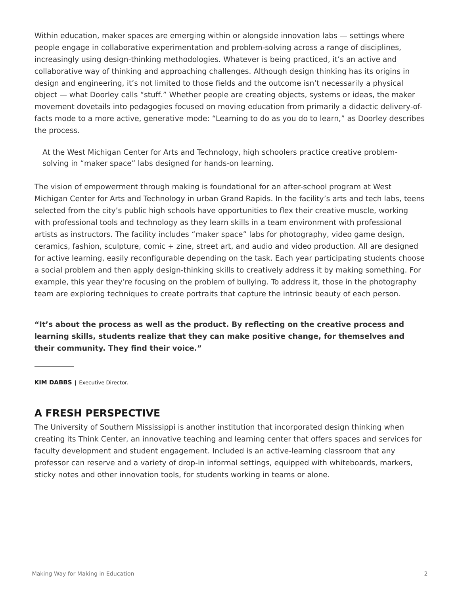Within education, maker spaces are emerging within or alongside innovation labs — settings where people engage in collaborative experimentation and problem-solving across a range of disciplines, increasingly using design-thinking methodologies. Whatever is being practiced, it's an active and collaborative way of thinking and approaching challenges. Although design thinking has its origins in design and engineering, it's not limited to those fields and the outcome isn't necessarily a physical object — what Doorley calls "stuff." Whether people are creating objects, systems or ideas, the maker movement dovetails into pedagogies focused on moving education from primarily a didactic delivery-offacts mode to a more active, generative mode: "Learning to do as you do to learn," as Doorley describes the process.

At the West Michigan Center for Arts and Technology, high schoolers practice creative problemsolving in "maker space" labs designed for hands-on learning.

The vision of empowerment through making is foundational for an after-school program at West Michigan Center for Arts and Technology in urban Grand Rapids. In the facility's arts and tech labs, teens selected from the city's public high schools have opportunities to flex their creative muscle, working with professional tools and technology as they learn skills in a team environment with professional artists as instructors. The facility includes "maker space" labs for photography, video game design, ceramics, fashion, sculpture, comic + zine, street art, and audio and video production. All are designed for active learning, easily reconfigurable depending on the task. Each year participating students choose a social problem and then apply design-thinking skills to creatively address it by making something. For example, this year they're focusing on the problem of bullying. To address it, those in the photography team are exploring techniques to create portraits that capture the intrinsic beauty of each person.

**"It's about the process as well as the product. By reflecting on the creative process and learning skills, students realize that they can make positive change, for themselves and their community. They find their voice."**

**KIM DABBS** | Executive Director.

### **A FRESH PERSPECTIVE**

The University of Southern Mississippi is another institution that incorporated design thinking when creating its Think Center, an innovative teaching and learning center that offers spaces and services for faculty development and student engagement. Included is an active-learning classroom that any professor can reserve and a variety of drop-in informal settings, equipped with whiteboards, markers, sticky notes and other innovation tools, for students working in teams or alone.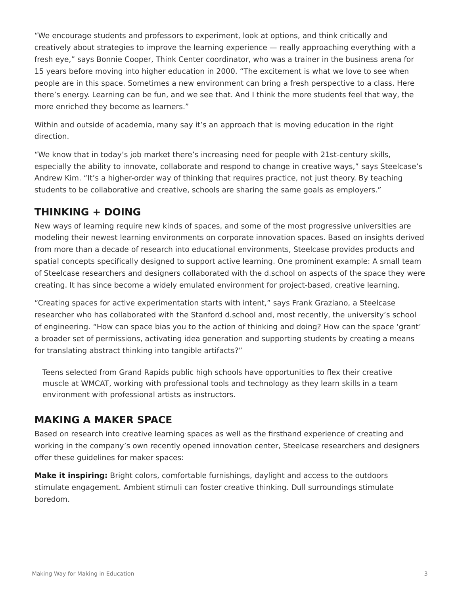"We encourage students and professors to experiment, look at options, and think critically and creatively about strategies to improve the learning experience — really approaching everything with a fresh eye," says Bonnie Cooper, Think Center coordinator, who was a trainer in the business arena for 15 years before moving into higher education in 2000. "The excitement is what we love to see when people are in this space. Sometimes a new environment can bring a fresh perspective to a class. Here there's energy. Learning can be fun, and we see that. And I think the more students feel that way, the more enriched they become as learners."

Within and outside of academia, many say it's an approach that is moving education in the right direction.

"We know that in today's job market there's increasing need for people with 21st-century skills, especially the ability to innovate, collaborate and respond to change in creative ways," says Steelcase's Andrew Kim. "It's a higher-order way of thinking that requires practice, not just theory. By teaching students to be collaborative and creative, schools are sharing the same goals as employers."

# **THINKING + DOING**

New ways of learning require new kinds of spaces, and some of the most progressive universities are modeling their newest learning environments on corporate innovation spaces. Based on insights derived from more than a decade of research into educational environments, Steelcase provides products and spatial concepts specifically designed to support active learning. One prominent example: A small team of Steelcase researchers and designers collaborated with the d.school on aspects of the space they were creating. It has since become a widely emulated environment for project-based, creative learning.

"Creating spaces for active experimentation starts with intent," says Frank Graziano, a Steelcase researcher who has collaborated with the Stanford d.school and, most recently, the university's school of engineering. "How can space bias you to the action of thinking and doing? How can the space 'grant' a broader set of permissions, activating idea generation and supporting students by creating a means for translating abstract thinking into tangible artifacts?"

Teens selected from Grand Rapids public high schools have opportunities to flex their creative muscle at WMCAT, working with professional tools and technology as they learn skills in a team environment with professional artists as instructors.

## **MAKING A MAKER SPACE**

Based on research into creative learning spaces as well as the firsthand experience of creating and working in the company's own recently opened innovation center, Steelcase researchers and designers offer these guidelines for maker spaces:

**Make it inspiring:** Bright colors, comfortable furnishings, daylight and access to the outdoors stimulate engagement. Ambient stimuli can foster creative thinking. Dull surroundings stimulate boredom.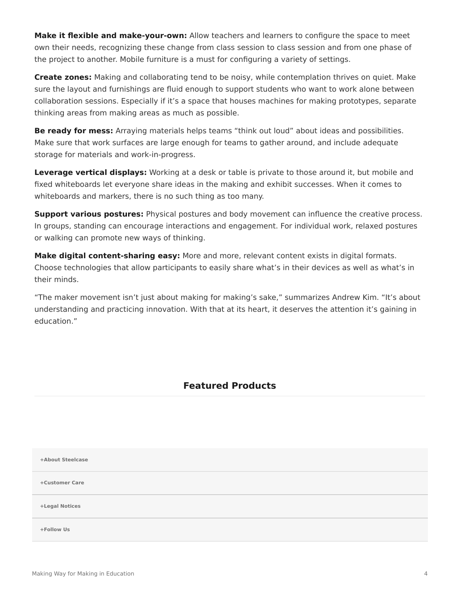**Make it flexible and make-your-own:** Allow teachers and learners to configure the space to meet own their needs, recognizing these change from class session to class session and from one phase of the project to another. Mobile furniture is a must for configuring a variety of settings.

**Create zones:** Making and collaborating tend to be noisy, while contemplation thrives on quiet. Make sure the layout and furnishings are fluid enough to support students who want to work alone between collaboration sessions. Especially if it's a space that houses machines for making prototypes, separate thinking areas from making areas as much as possible.

**Be ready for mess:** Arraying materials helps teams "think out loud" about ideas and possibilities. Make sure that work surfaces are large enough for teams to gather around, and include adequate storage for materials and work-in-progress.

**Leverage vertical displays:** Working at a desk or table is private to those around it, but mobile and fixed whiteboards let everyone share ideas in the making and exhibit successes. When it comes to whiteboards and markers, there is no such thing as too many.

**Support various postures:** Physical postures and body movement can influence the creative process. In groups, standing can encourage interactions and engagement. For individual work, relaxed postures or walking can promote new ways of thinking.

**Make digital content-sharing easy:** More and more, relevant content exists in digital formats. Choose technologies that allow participants to easily share what's in their devices as well as what's in their minds.

"The maker movement isn't just about making for making's sake," summarizes Andrew Kim. "It's about understanding and practicing innovation. With that at its heart, it deserves the attention it's gaining in education."

### **Featured Products**

**[+About Steelcase](https://www.steelcase.com/eu-en/about/steelcase/our-company/)**

**+Customer Care**

**+Legal Notices**

**[Follow Us](https://www.steelcase.com/eu-en/) [+](https://www.steelcase.com/eu-en/)**